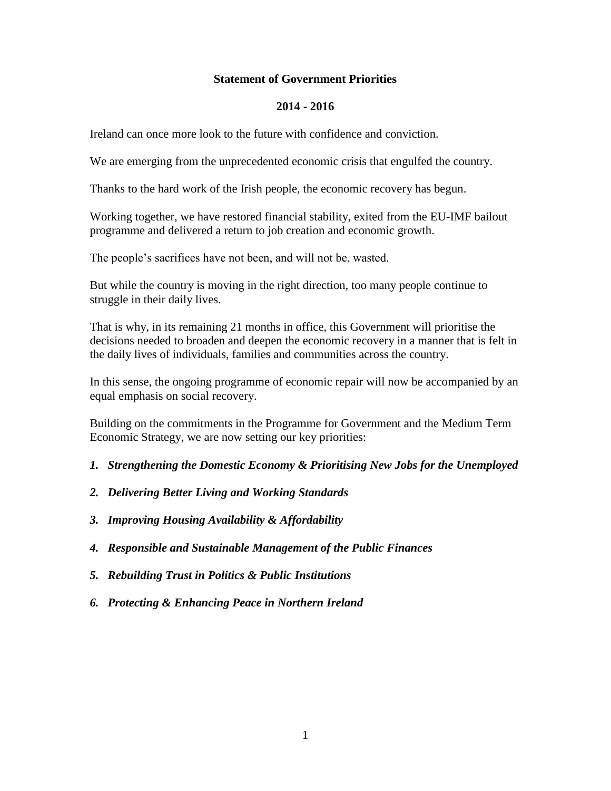### **Statement of Government Priorities**

#### **2014 - 2016**

Ireland can once more look to the future with confidence and conviction.

We are emerging from the unprecedented economic crisis that engulfed the country.

Thanks to the hard work of the Irish people, the economic recovery has begun.

Working together, we have restored financial stability, exited from the EU-IMF bailout programme and delivered a return to job creation and economic growth.

The people's sacrifices have not been, and will not be, wasted.

But while the country is moving in the right direction, too many people continue to struggle in their daily lives.

That is why, in its remaining 21 months in office, this Government will prioritise the decisions needed to broaden and deepen the economic recovery in a manner that is felt in the daily lives of individuals, families and communities across the country.

In this sense, the ongoing programme of economic repair will now be accompanied by an equal emphasis on social recovery.

Building on the commitments in the Programme for Government and the Medium Term Economic Strategy, we are now setting our key priorities:

- *1. Strengthening the Domestic Economy & Prioritising New Jobs for the Unemployed*
- *2. Delivering Better Living and Working Standards*
- *3. Improving Housing Availability & Affordability*
- *4. Responsible and Sustainable Management of the Public Finances*
- *5. Rebuilding Trust in Politics & Public Institutions*
- *6. Protecting & Enhancing Peace in Northern Ireland*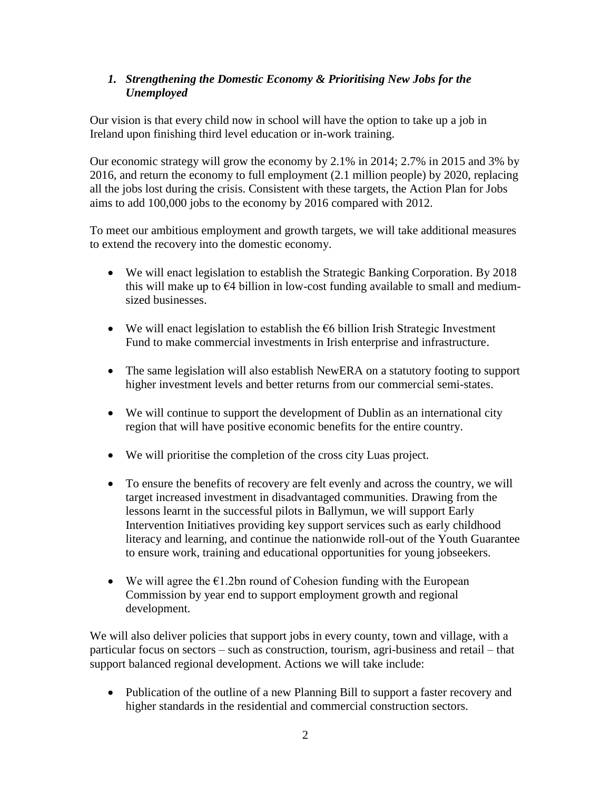## *1. Strengthening the Domestic Economy & Prioritising New Jobs for the Unemployed*

Our vision is that every child now in school will have the option to take up a job in Ireland upon finishing third level education or in-work training.

Our economic strategy will grow the economy by 2.1% in 2014; 2.7% in 2015 and 3% by 2016, and return the economy to full employment (2.1 million people) by 2020, replacing all the jobs lost during the crisis. Consistent with these targets, the Action Plan for Jobs aims to add 100,000 jobs to the economy by 2016 compared with 2012.

To meet our ambitious employment and growth targets, we will take additional measures to extend the recovery into the domestic economy.

- We will enact legislation to establish the Strategic Banking Corporation. By 2018 this will make up to  $\epsilon$ 4 billion in low-cost funding available to small and mediumsized businesses.
- We will enact legislation to establish the  $\epsilon$ 6 billion Irish Strategic Investment Fund to make commercial investments in Irish enterprise and infrastructure.
- The same legislation will also establish NewERA on a statutory footing to support higher investment levels and better returns from our commercial semi-states.
- We will continue to support the development of Dublin as an international city region that will have positive economic benefits for the entire country.
- We will prioritise the completion of the cross city Luas project.
- To ensure the benefits of recovery are felt evenly and across the country, we will target increased investment in disadvantaged communities. Drawing from the lessons learnt in the successful pilots in Ballymun, we will support Early Intervention Initiatives providing key support services such as early childhood literacy and learning, and continue the nationwide roll-out of the Youth Guarantee to ensure work, training and educational opportunities for young jobseekers.
- We will agree the  $E1.2$ bn round of Cohesion funding with the European Commission by year end to support employment growth and regional development.

We will also deliver policies that support jobs in every county, town and village, with a particular focus on sectors – such as construction, tourism, agri-business and retail – that support balanced regional development. Actions we will take include:

• Publication of the outline of a new Planning Bill to support a faster recovery and higher standards in the residential and commercial construction sectors.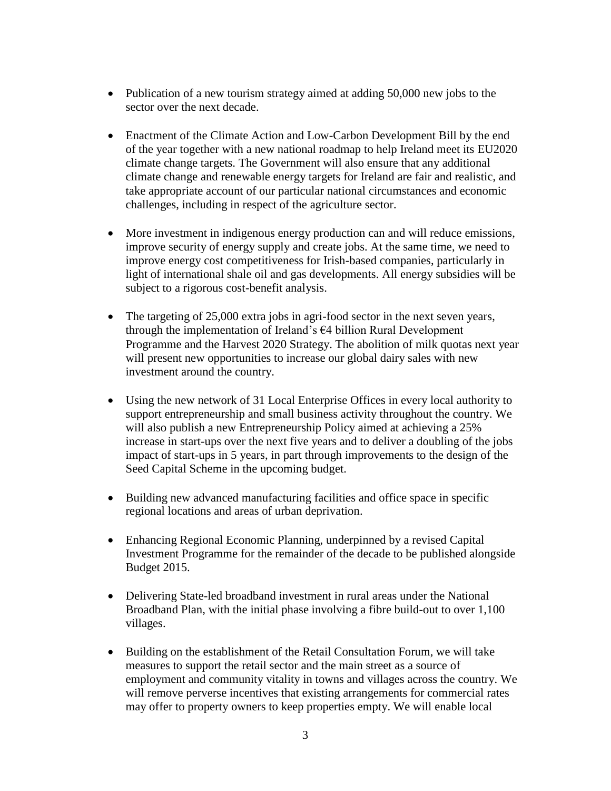- Publication of a new tourism strategy aimed at adding 50,000 new jobs to the sector over the next decade.
- Enactment of the Climate Action and Low-Carbon Development Bill by the end of the year together with a new national roadmap to help Ireland meet its EU2020 climate change targets. The Government will also ensure that any additional climate change and renewable energy targets for Ireland are fair and realistic, and take appropriate account of our particular national circumstances and economic challenges, including in respect of the agriculture sector.
- More investment in indigenous energy production can and will reduce emissions, improve security of energy supply and create jobs. At the same time, we need to improve energy cost competitiveness for Irish-based companies, particularly in light of international shale oil and gas developments. All energy subsidies will be subject to a rigorous cost-benefit analysis.
- The targeting of 25,000 extra jobs in agri-food sector in the next seven years, through the implementation of Ireland's €4 billion Rural Development Programme and the Harvest 2020 Strategy. The abolition of milk quotas next year will present new opportunities to increase our global dairy sales with new investment around the country.
- Using the new network of 31 Local Enterprise Offices in every local authority to support entrepreneurship and small business activity throughout the country. We will also publish a new Entrepreneurship Policy aimed at achieving a 25% increase in start-ups over the next five years and to deliver a doubling of the jobs impact of start-ups in 5 years, in part through improvements to the design of the Seed Capital Scheme in the upcoming budget.
- Building new advanced manufacturing facilities and office space in specific regional locations and areas of urban deprivation.
- Enhancing Regional Economic Planning, underpinned by a revised Capital Investment Programme for the remainder of the decade to be published alongside Budget 2015.
- Delivering State-led broadband investment in rural areas under the National Broadband Plan, with the initial phase involving a fibre build-out to over 1,100 villages.
- Building on the establishment of the Retail Consultation Forum, we will take measures to support the retail sector and the main street as a source of employment and community vitality in towns and villages across the country. We will remove perverse incentives that existing arrangements for commercial rates may offer to property owners to keep properties empty. We will enable local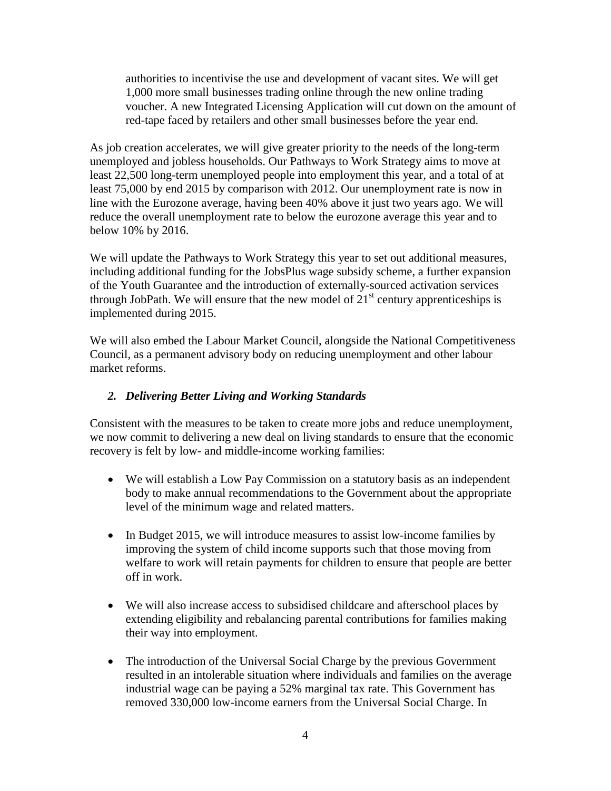authorities to incentivise the use and development of vacant sites. We will get 1,000 more small businesses trading online through the new online trading voucher. A new Integrated Licensing Application will cut down on the amount of red-tape faced by retailers and other small businesses before the year end.

As job creation accelerates, we will give greater priority to the needs of the long-term unemployed and jobless households. Our Pathways to Work Strategy aims to move at least 22,500 long-term unemployed people into employment this year, and a total of at least 75,000 by end 2015 by comparison with 2012. Our unemployment rate is now in line with the Eurozone average, having been 40% above it just two years ago. We will reduce the overall unemployment rate to below the eurozone average this year and to below 10% by 2016.

We will update the Pathways to Work Strategy this year to set out additional measures, including additional funding for the JobsPlus wage subsidy scheme, a further expansion of the Youth Guarantee and the introduction of externally-sourced activation services through JobPath. We will ensure that the new model of  $21<sup>st</sup>$  century apprenticeships is implemented during 2015.

We will also embed the Labour Market Council, alongside the National Competitiveness Council, as a permanent advisory body on reducing unemployment and other labour market reforms.

# *2. Delivering Better Living and Working Standards*

Consistent with the measures to be taken to create more jobs and reduce unemployment, we now commit to delivering a new deal on living standards to ensure that the economic recovery is felt by low- and middle-income working families:

- We will establish a Low Pay Commission on a statutory basis as an independent body to make annual recommendations to the Government about the appropriate level of the minimum wage and related matters.
- In Budget 2015, we will introduce measures to assist low-income families by improving the system of child income supports such that those moving from welfare to work will retain payments for children to ensure that people are better off in work.
- We will also increase access to subsidised childcare and afterschool places by extending eligibility and rebalancing parental contributions for families making their way into employment.
- The introduction of the Universal Social Charge by the previous Government resulted in an intolerable situation where individuals and families on the average industrial wage can be paying a 52% marginal tax rate. This Government has removed 330,000 low-income earners from the Universal Social Charge. In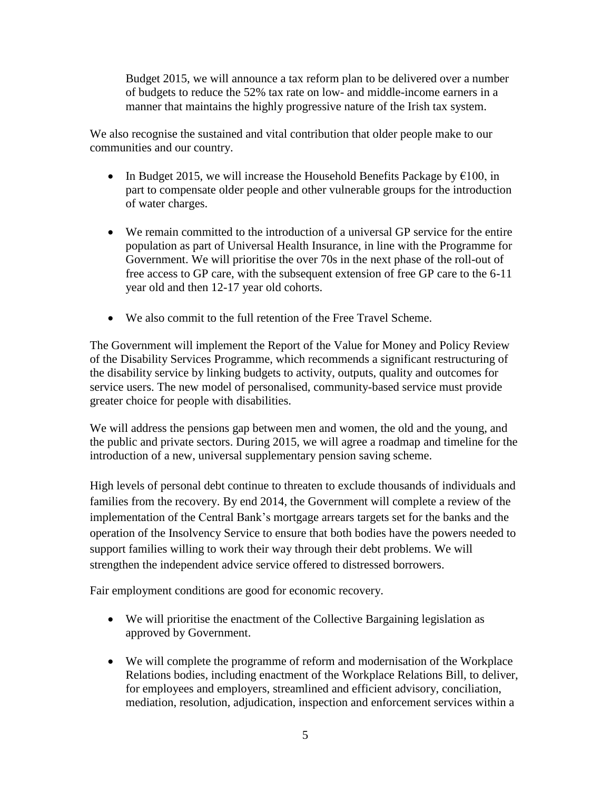Budget 2015, we will announce a tax reform plan to be delivered over a number of budgets to reduce the 52% tax rate on low- and middle-income earners in a manner that maintains the highly progressive nature of the Irish tax system.

We also recognise the sustained and vital contribution that older people make to our communities and our country.

- In Budget 2015, we will increase the Household Benefits Package by  $\epsilon$ 100, in part to compensate older people and other vulnerable groups for the introduction of water charges.
- We remain committed to the introduction of a universal GP service for the entire population as part of Universal Health Insurance, in line with the Programme for Government. We will prioritise the over 70s in the next phase of the roll-out of free access to GP care, with the subsequent extension of free GP care to the 6-11 year old and then 12-17 year old cohorts.
- We also commit to the full retention of the Free Travel Scheme.

The Government will implement the Report of the Value for Money and Policy Review of the Disability Services Programme, which recommends a significant restructuring of the disability service by linking budgets to activity, outputs, quality and outcomes for service users. The new model of personalised, community-based service must provide greater choice for people with disabilities.

We will address the pensions gap between men and women, the old and the young, and the public and private sectors. During 2015, we will agree a roadmap and timeline for the introduction of a new, universal supplementary pension saving scheme.

High levels of personal debt continue to threaten to exclude thousands of individuals and families from the recovery. By end 2014, the Government will complete a review of the implementation of the Central Bank's mortgage arrears targets set for the banks and the operation of the Insolvency Service to ensure that both bodies have the powers needed to support families willing to work their way through their debt problems. We will strengthen the independent advice service offered to distressed borrowers.

Fair employment conditions are good for economic recovery.

- We will prioritise the enactment of the Collective Bargaining legislation as approved by Government.
- We will complete the programme of reform and modernisation of the Workplace Relations bodies, including enactment of the Workplace Relations Bill, to deliver, for employees and employers, streamlined and efficient advisory, conciliation, mediation, resolution, adjudication, inspection and enforcement services within a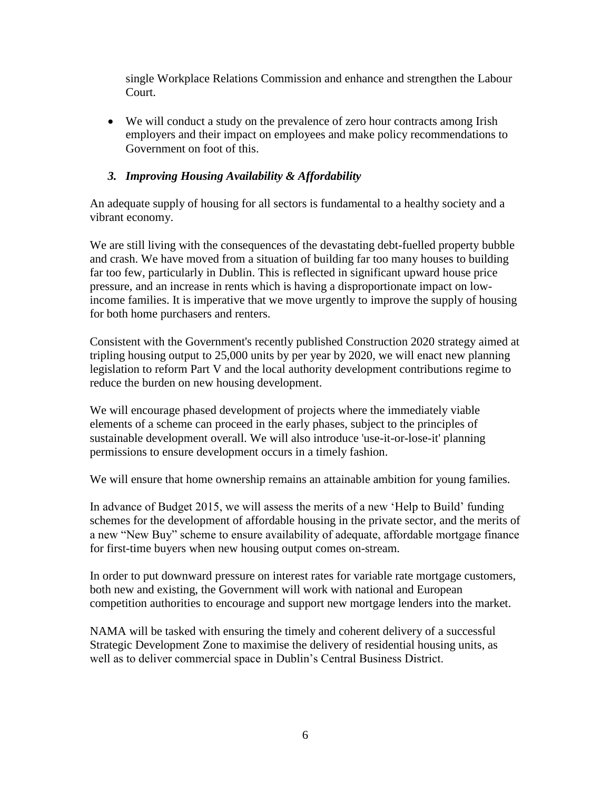single Workplace Relations Commission and enhance and strengthen the Labour Court.

 We will conduct a study on the prevalence of zero hour contracts among Irish employers and their impact on employees and make policy recommendations to Government on foot of this.

# *3. Improving Housing Availability & Affordability*

An adequate supply of housing for all sectors is fundamental to a healthy society and a vibrant economy.

We are still living with the consequences of the devastating debt-fuelled property bubble and crash. We have moved from a situation of building far too many houses to building far too few, particularly in Dublin. This is reflected in significant upward house price pressure, and an increase in rents which is having a disproportionate impact on lowincome families. It is imperative that we move urgently to improve the supply of housing for both home purchasers and renters.

Consistent with the Government's recently published Construction 2020 strategy aimed at tripling housing output to 25,000 units by per year by 2020, we will enact new planning legislation to reform Part V and the local authority development contributions regime to reduce the burden on new housing development.

We will encourage phased development of projects where the immediately viable elements of a scheme can proceed in the early phases, subject to the principles of sustainable development overall. We will also introduce 'use-it-or-lose-it' planning permissions to ensure development occurs in a timely fashion.

We will ensure that home ownership remains an attainable ambition for young families.

In advance of Budget 2015, we will assess the merits of a new 'Help to Build' funding schemes for the development of affordable housing in the private sector, and the merits of a new "New Buy" scheme to ensure availability of adequate, affordable mortgage finance for first-time buyers when new housing output comes on-stream.

In order to put downward pressure on interest rates for variable rate mortgage customers, both new and existing, the Government will work with national and European competition authorities to encourage and support new mortgage lenders into the market.

NAMA will be tasked with ensuring the timely and coherent delivery of a successful Strategic Development Zone to maximise the delivery of residential housing units, as well as to deliver commercial space in Dublin's Central Business District.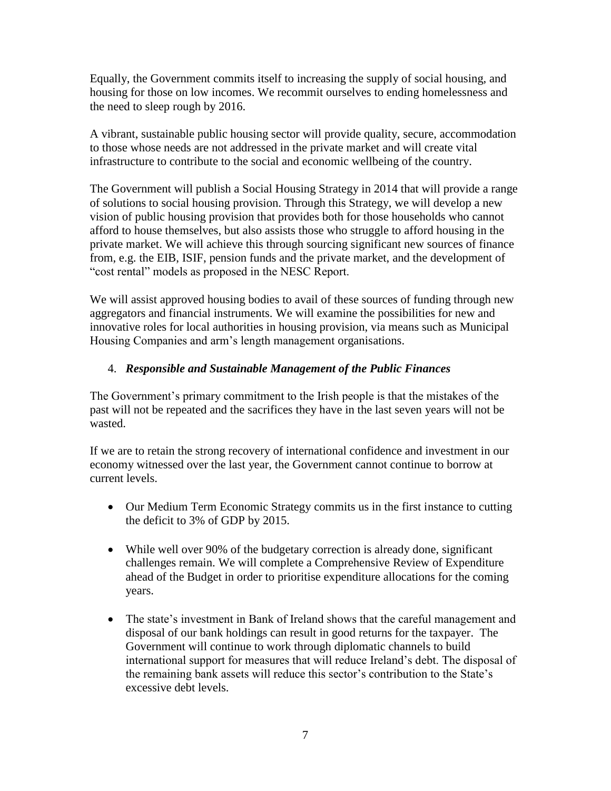Equally, the Government commits itself to increasing the supply of social housing, and housing for those on low incomes. We recommit ourselves to ending homelessness and the need to sleep rough by 2016.

A vibrant, sustainable public housing sector will provide quality, secure, accommodation to those whose needs are not addressed in the private market and will create vital infrastructure to contribute to the social and economic wellbeing of the country.

The Government will publish a Social Housing Strategy in 2014 that will provide a range of solutions to social housing provision. Through this Strategy, we will develop a new vision of public housing provision that provides both for those households who cannot afford to house themselves, but also assists those who struggle to afford housing in the private market. We will achieve this through sourcing significant new sources of finance from, e.g. the EIB, ISIF, pension funds and the private market, and the development of "cost rental" models as proposed in the NESC Report.

We will assist approved housing bodies to avail of these sources of funding through new aggregators and financial instruments. We will examine the possibilities for new and innovative roles for local authorities in housing provision, via means such as Municipal Housing Companies and arm's length management organisations.

## 4. *Responsible and Sustainable Management of the Public Finances*

The Government's primary commitment to the Irish people is that the mistakes of the past will not be repeated and the sacrifices they have in the last seven years will not be wasted.

If we are to retain the strong recovery of international confidence and investment in our economy witnessed over the last year, the Government cannot continue to borrow at current levels.

- Our Medium Term Economic Strategy commits us in the first instance to cutting the deficit to 3% of GDP by 2015.
- While well over 90% of the budgetary correction is already done, significant challenges remain. We will complete a Comprehensive Review of Expenditure ahead of the Budget in order to prioritise expenditure allocations for the coming years.
- The state's investment in Bank of Ireland shows that the careful management and disposal of our bank holdings can result in good returns for the taxpayer. The Government will continue to work through diplomatic channels to build international support for measures that will reduce Ireland's debt. The disposal of the remaining bank assets will reduce this sector's contribution to the State's excessive debt levels.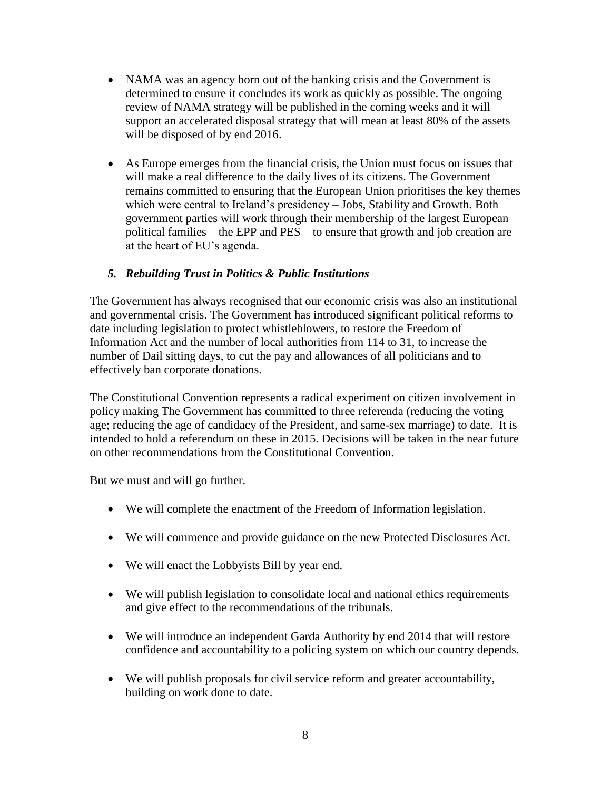- NAMA was an agency born out of the banking crisis and the Government is determined to ensure it concludes its work as quickly as possible. The ongoing review of NAMA strategy will be published in the coming weeks and it will support an accelerated disposal strategy that will mean at least 80% of the assets will be disposed of by end 2016.
- As Europe emerges from the financial crisis, the Union must focus on issues that will make a real difference to the daily lives of its citizens. The Government remains committed to ensuring that the European Union prioritises the key themes which were central to Ireland's presidency – Jobs, Stability and Growth. Both government parties will work through their membership of the largest European political families – the EPP and PES – to ensure that growth and job creation are at the heart of EU's agenda.

## *5. Rebuilding Trust in Politics & Public Institutions*

The Government has always recognised that our economic crisis was also an institutional and governmental crisis. The Government has introduced significant political reforms to date including legislation to protect whistleblowers, to restore the Freedom of Information Act and the number of local authorities from 114 to 31, to increase the number of Dail sitting days, to cut the pay and allowances of all politicians and to effectively ban corporate donations.

The Constitutional Convention represents a radical experiment on citizen involvement in policy making The Government has committed to three referenda (reducing the voting age; reducing the age of candidacy of the President, and same-sex marriage) to date. It is intended to hold a referendum on these in 2015. Decisions will be taken in the near future on other recommendations from the Constitutional Convention.

But we must and will go further.

- We will complete the enactment of the Freedom of Information legislation.
- We will commence and provide guidance on the new Protected Disclosures Act.
- We will enact the Lobbyists Bill by year end.
- We will publish legislation to consolidate local and national ethics requirements and give effect to the recommendations of the tribunals.
- We will introduce an independent Garda Authority by end 2014 that will restore confidence and accountability to a policing system on which our country depends.
- We will publish proposals for civil service reform and greater accountability, building on work done to date.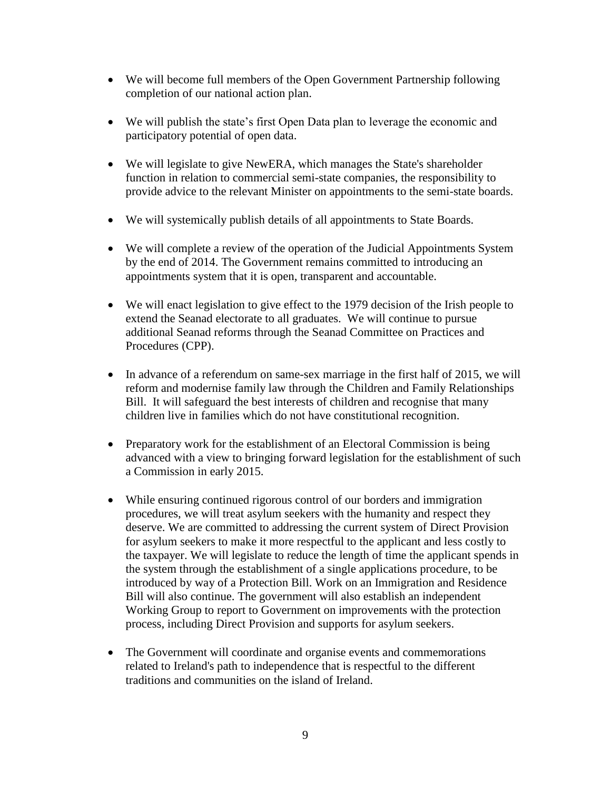- We will become full members of the Open Government Partnership following completion of our national action plan.
- We will publish the state's first Open Data plan to leverage the economic and participatory potential of open data.
- We will legislate to give NewERA, which manages the State's shareholder function in relation to commercial semi-state companies, the responsibility to provide advice to the relevant Minister on appointments to the semi-state boards.
- We will systemically publish details of all appointments to State Boards.
- We will complete a review of the operation of the Judicial Appointments System by the end of 2014. The Government remains committed to introducing an appointments system that it is open, transparent and accountable.
- We will enact legislation to give effect to the 1979 decision of the Irish people to extend the Seanad electorate to all graduates. We will continue to pursue additional Seanad reforms through the Seanad Committee on Practices and Procedures (CPP).
- In advance of a referendum on same-sex marriage in the first half of 2015, we will reform and modernise family law through the Children and Family Relationships Bill. It will safeguard the best interests of children and recognise that many children live in families which do not have constitutional recognition.
- Preparatory work for the establishment of an Electoral Commission is being advanced with a view to bringing forward legislation for the establishment of such a Commission in early 2015.
- While ensuring continued rigorous control of our borders and immigration procedures, we will treat asylum seekers with the humanity and respect they deserve. We are committed to addressing the current system of Direct Provision for asylum seekers to make it more respectful to the applicant and less costly to the taxpayer. We will legislate to reduce the length of time the applicant spends in the system through the establishment of a single applications procedure, to be introduced by way of a Protection Bill. Work on an Immigration and Residence Bill will also continue. The government will also establish an independent Working Group to report to Government on improvements with the protection process, including Direct Provision and supports for asylum seekers.
- The Government will coordinate and organise events and commemorations related to Ireland's path to independence that is respectful to the different traditions and communities on the island of Ireland.